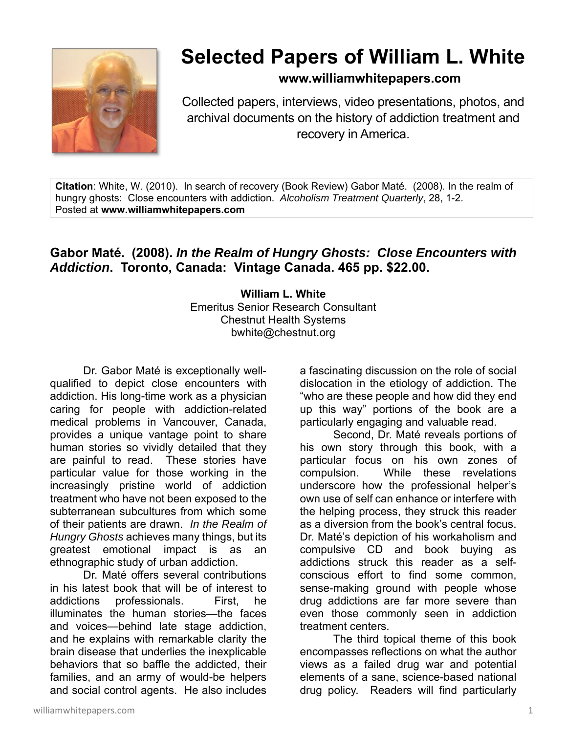

## **Selected Papers of William L. White**

## **www.williamwhitepapers.com**

Collected papers, interviews, video presentations, photos, and archival documents on the history of addiction treatment and recovery in America.

**Citation**: White, W. (2010). In search of recovery (Book Review) Gabor Maté. (2008). In the realm of hungry ghosts: Close encounters with addiction. *Alcoholism Treatment Quarterly*, 28, 1-2. Posted at **www.williamwhitepapers.com** 

## **Gabor Maté. (2008).** *In the Realm of Hungry Ghosts: Close Encounters with Addiction***. Toronto, Canada: Vintage Canada. 465 pp. \$22.00.**

**William L. White**  Emeritus Senior Research Consultant Chestnut Health Systems bwhite@chestnut.org

Dr. Gabor Maté is exceptionally wellqualified to depict close encounters with addiction. His long-time work as a physician caring for people with addiction-related medical problems in Vancouver, Canada, provides a unique vantage point to share human stories so vividly detailed that they are painful to read. These stories have particular value for those working in the increasingly pristine world of addiction treatment who have not been exposed to the subterranean subcultures from which some of their patients are drawn. *In the Realm of Hungry Ghosts* achieves many things, but its greatest emotional impact is as an ethnographic study of urban addiction.

 Dr. Maté offers several contributions in his latest book that will be of interest to addictions professionals. First, he illuminates the human stories—the faces and voices—behind late stage addiction, and he explains with remarkable clarity the brain disease that underlies the inexplicable behaviors that so baffle the addicted, their families, and an army of would-be helpers and social control agents. He also includes

a fascinating discussion on the role of social dislocation in the etiology of addiction. The "who are these people and how did they end up this way" portions of the book are a particularly engaging and valuable read.

 Second, Dr. Maté reveals portions of his own story through this book, with a particular focus on his own zones of compulsion. While these revelations underscore how the professional helper's own use of self can enhance or interfere with the helping process, they struck this reader as a diversion from the book's central focus. Dr. Maté's depiction of his workaholism and compulsive CD and book buying as addictions struck this reader as a selfconscious effort to find some common, sense-making ground with people whose drug addictions are far more severe than even those commonly seen in addiction treatment centers.

 The third topical theme of this book encompasses reflections on what the author views as a failed drug war and potential elements of a sane, science-based national drug policy. Readers will find particularly